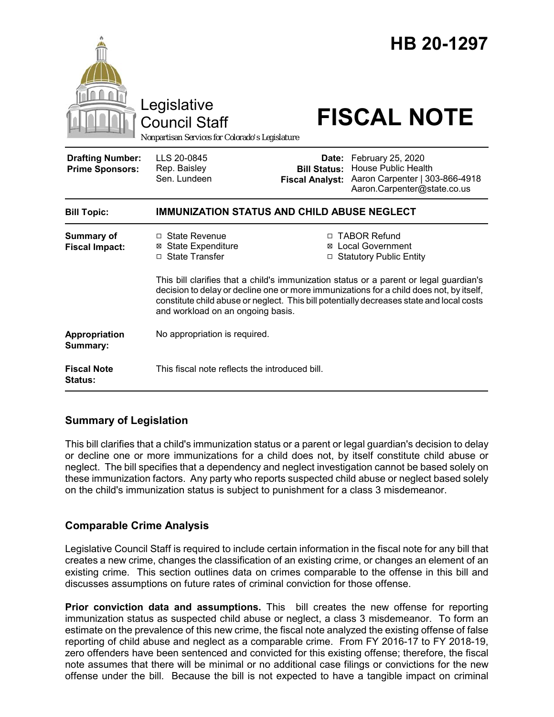|                                                   | Legislative<br><b>Council Staff</b><br>Nonpartisan Services for Colorado's Legislature |                                                        | HB 20-1297<br><b>FISCAL NOTE</b>                                                                                                                                                                                                                                                                                                                   |
|---------------------------------------------------|----------------------------------------------------------------------------------------|--------------------------------------------------------|----------------------------------------------------------------------------------------------------------------------------------------------------------------------------------------------------------------------------------------------------------------------------------------------------------------------------------------------------|
| <b>Drafting Number:</b><br><b>Prime Sponsors:</b> | LLS 20-0845<br>Rep. Baisley<br>Sen. Lundeen                                            | Date:<br><b>Bill Status:</b><br><b>Fiscal Analyst:</b> | February 25, 2020<br><b>House Public Health</b><br>Aaron Carpenter   303-866-4918<br>Aaron.Carpenter@state.co.us                                                                                                                                                                                                                                   |
| <b>Bill Topic:</b>                                | <b>IMMUNIZATION STATUS AND CHILD ABUSE NEGLECT</b>                                     |                                                        |                                                                                                                                                                                                                                                                                                                                                    |
| <b>Summary of</b><br><b>Fiscal Impact:</b>        | $\Box$ State Revenue<br><b>⊠ State Expenditure</b><br>□ State Transfer                 |                                                        | □ TABOR Refund<br>⊠ Local Government<br>□ Statutory Public Entity<br>This bill clarifies that a child's immunization status or a parent or legal guardian's<br>decision to delay or decline one or more immunizations for a child does not, by itself,<br>constitute child abuse or neglect. This bill potentially decreases state and local costs |
|                                                   | and workload on an ongoing basis.                                                      |                                                        |                                                                                                                                                                                                                                                                                                                                                    |
| Appropriation<br>Summary:                         | No appropriation is required.                                                          |                                                        |                                                                                                                                                                                                                                                                                                                                                    |
| <b>Fiscal Note</b><br><b>Status:</b>              | This fiscal note reflects the introduced bill.                                         |                                                        |                                                                                                                                                                                                                                                                                                                                                    |

# **Summary of Legislation**

This bill clarifies that a child's immunization status or a parent or legal guardian's decision to delay or decline one or more immunizations for a child does not, by itself constitute child abuse or neglect. The bill specifies that a dependency and neglect investigation cannot be based solely on these immunization factors. Any party who reports suspected child abuse or neglect based solely on the child's immunization status is subject to punishment for a class 3 misdemeanor.

# **Comparable Crime Analysis**

Legislative Council Staff is required to include certain information in the fiscal note for any bill that creates a new crime, changes the classification of an existing crime, or changes an element of an existing crime. This section outlines data on crimes comparable to the offense in this bill and discusses assumptions on future rates of criminal conviction for those offense.

**Prior conviction data and assumptions.** This bill creates the new offense for reporting immunization status as suspected child abuse or neglect, a class 3 misdemeanor. To form an estimate on the prevalence of this new crime, the fiscal note analyzed the existing offense of false reporting of child abuse and neglect as a comparable crime. From FY 2016-17 to FY 2018-19, zero offenders have been sentenced and convicted for this existing offense; therefore, the fiscal note assumes that there will be minimal or no additional case filings or convictions for the new offense under the bill. Because the bill is not expected to have a tangible impact on criminal